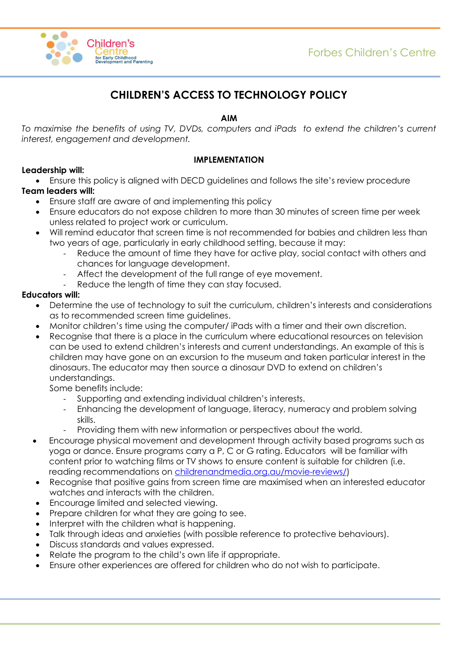

# **CHILDREN'S ACCESS TO TECHNOLOGY POLICY**

## **AIM**

*To maximise the benefits of using TV, DVDs, computers and iPads to extend the children's current interest, engagement and development.*

### **IMPLEMENTATION**

## **Leadership will:**

Ensure this policy is aligned with DECD guidelines and follows the site's review procedure

## **Team leaders will:**

- Ensure staff are aware of and implementing this policy
- Ensure educators do not expose children to more than 30 minutes of screen time per week unless related to project work or curriculum.
- Will remind educator that screen time is not recommended for babies and children less than two years of age, particularly in early childhood setting, because it may:
	- Reduce the amount of time they have for active play, social contact with others and chances for language development.
	- Affect the development of the full range of eye movement.
	- Reduce the length of time they can stay focused.

#### **Educators will:**

- Determine the use of technology to suit the curriculum, children's interests and considerations as to recommended screen time guidelines.
- Monitor children's time using the computer/ iPads with a timer and their own discretion.
- Recognise that there is a place in the curriculum where educational resources on television can be used to extend children's interests and current understandings. An example of this is children may have gone on an excursion to the museum and taken particular interest in the dinosaurs. The educator may then source a dinosaur DVD to extend on children's understandings.

Some benefits include:

- Supporting and extending individual children's interests.
- Enhancing the development of language, literacy, numeracy and problem solving skills.
- Providing them with new information or perspectives about the world.
- Encourage physical movement and development through activity based programs such as yoga or dance. Ensure programs carry a P, C or G rating. Educators will be familiar with content prior to watching films or TV shows to ensure content is suitable for children (i.e. reading recommendations on [childrenandmedia.org.au/movie-reviews/\)](https://childrenandmedia.org.au/movie-reviews/)
- Recognise that positive gains from screen time are maximised when an interested educator watches and interacts with the children.
- Encourage limited and selected viewing.
- Prepare children for what they are going to see.
- Interpret with the children what is happening.
- Talk through ideas and anxieties (with possible reference to protective behaviours).
- Discuss standards and values expressed.
- Relate the program to the child's own life if appropriate.
- Ensure other experiences are offered for children who do not wish to participate.